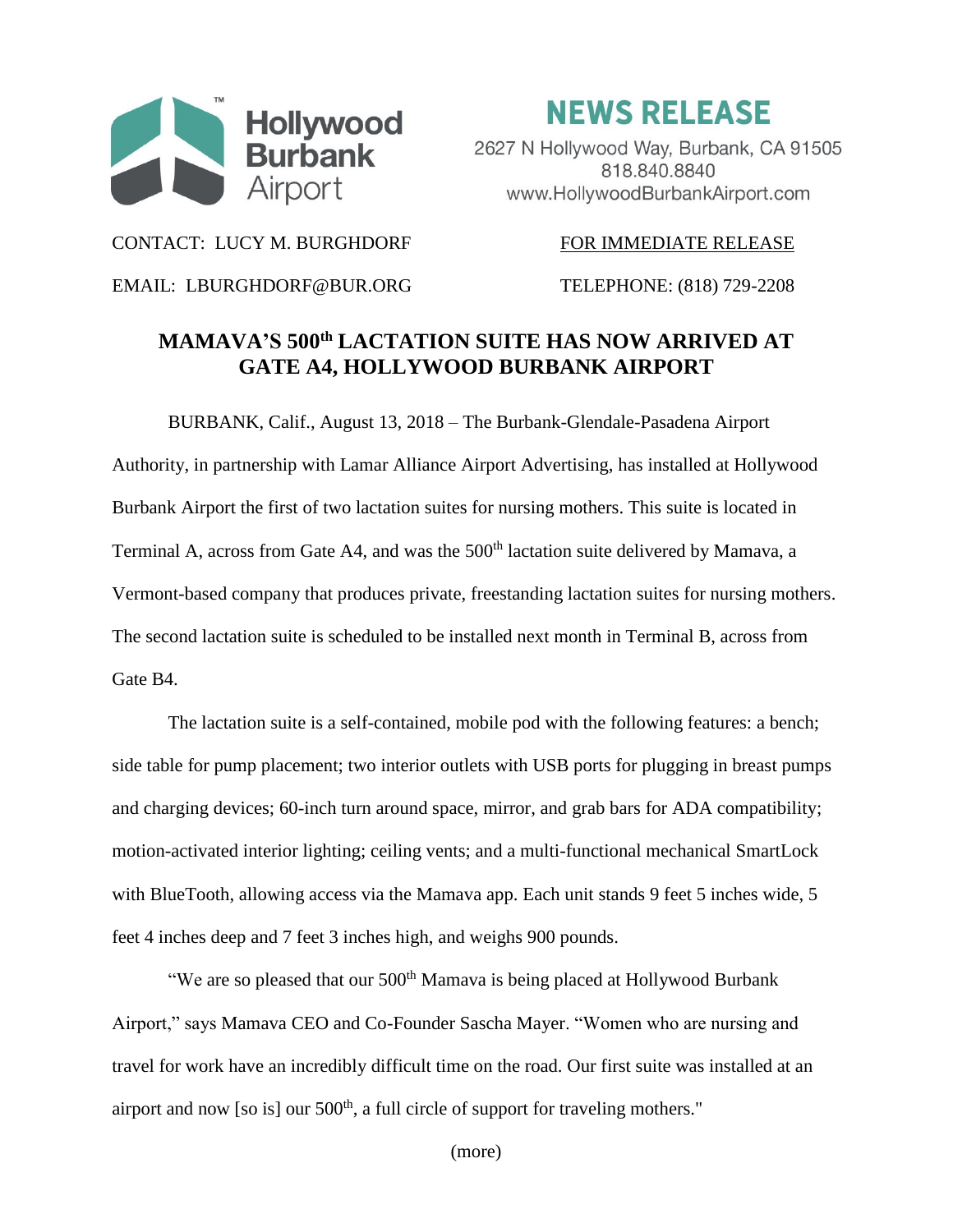

**NEWS RELEASE** 

2627 N Hollywood Way, Burbank, CA 91505 818,840,8840 www.HollywoodBurbankAirport.com

CONTACT: LUCY M. BURGHDORF FOR IMMEDIATE RELEASE

EMAIL: LBURGHDORF@BUR.ORG TELEPHONE: (818) 729-2208

## **MAMAVA'S 500th LACTATION SUITE HAS NOW ARRIVED AT GATE A4, HOLLYWOOD BURBANK AIRPORT**

BURBANK, Calif., August 13, 2018 – The Burbank-Glendale-Pasadena Airport Authority, in partnership with Lamar Alliance Airport Advertising, has installed at Hollywood Burbank Airport the first of two lactation suites for nursing mothers. This suite is located in Terminal A, across from Gate A4, and was the 500<sup>th</sup> lactation suite delivered by Mamava, a Vermont-based company that produces private, freestanding lactation suites for nursing mothers. The second lactation suite is scheduled to be installed next month in Terminal B, across from Gate B4.

The lactation suite is a self-contained, mobile pod with the following features: a bench; side table for pump placement; two interior outlets with USB ports for plugging in breast pumps and charging devices; 60-inch turn around space, mirror, and grab bars for ADA compatibility; motion-activated interior lighting; ceiling vents; and a multi-functional mechanical SmartLock with BlueTooth, allowing access via the Mamava app. Each unit stands 9 feet 5 inches wide, 5 feet 4 inches deep and 7 feet 3 inches high, and weighs 900 pounds.

"We are so pleased that our  $500<sup>th</sup>$  Mamava is being placed at Hollywood Burbank Airport," says Mamava CEO and Co-Founder Sascha Mayer. "Women who are nursing and travel for work have an incredibly difficult time on the road. Our first suite was installed at an airport and now [so is] our  $500<sup>th</sup>$ , a full circle of support for traveling mothers."

(more)